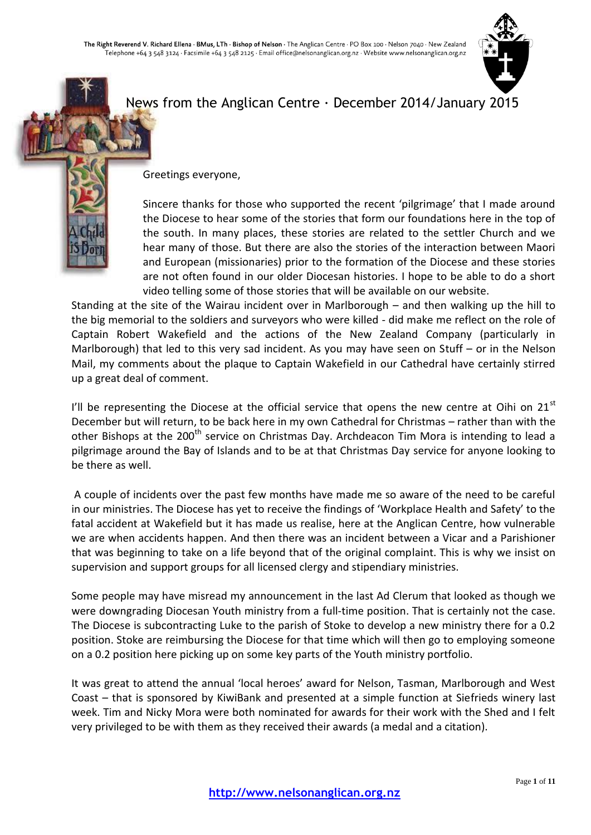

# News from the Anglican Centre · December 2014/January 2015



Greetings everyone,

Sincere thanks for those who supported the recent 'pilgrimage' that I made around the Diocese to hear some of the stories that form our foundations here in the top of the south. In many places, these stories are related to the settler Church and we hear many of those. But there are also the stories of the interaction between Maori and European (missionaries) prior to the formation of the Diocese and these stories are not often found in our older Diocesan histories. I hope to be able to do a short video telling some of those stories that will be available on our website.

Standing at the site of the Wairau incident over in Marlborough – and then walking up the hill to the big memorial to the soldiers and surveyors who were killed - did make me reflect on the role of Captain Robert Wakefield and the actions of the New Zealand Company (particularly in Marlborough) that led to this very sad incident. As you may have seen on Stuff – or in the Nelson Mail, my comments about the plaque to Captain Wakefield in our Cathedral have certainly stirred up a great deal of comment.

I'll be representing the Diocese at the official service that opens the new centre at Oihi on  $21<sup>st</sup>$ December but will return, to be back here in my own Cathedral for Christmas – rather than with the other Bishops at the 200<sup>th</sup> service on Christmas Day. Archdeacon Tim Mora is intending to lead a pilgrimage around the Bay of Islands and to be at that Christmas Day service for anyone looking to be there as well.

A couple of incidents over the past few months have made me so aware of the need to be careful in our ministries. The Diocese has yet to receive the findings of 'Workplace Health and Safety' to the fatal accident at Wakefield but it has made us realise, here at the Anglican Centre, how vulnerable we are when accidents happen. And then there was an incident between a Vicar and a Parishioner that was beginning to take on a life beyond that of the original complaint. This is why we insist on supervision and support groups for all licensed clergy and stipendiary ministries.

Some people may have misread my announcement in the last Ad Clerum that looked as though we were downgrading Diocesan Youth ministry from a full-time position. That is certainly not the case. The Diocese is subcontracting Luke to the parish of Stoke to develop a new ministry there for a 0.2 position. Stoke are reimbursing the Diocese for that time which will then go to employing someone on a 0.2 position here picking up on some key parts of the Youth ministry portfolio.

It was great to attend the annual 'local heroes' award for Nelson, Tasman, Marlborough and West Coast – that is sponsored by KiwiBank and presented at a simple function at Siefrieds winery last week. Tim and Nicky Mora were both nominated for awards for their work with the Shed and I felt very privileged to be with them as they received their awards (a medal and a citation).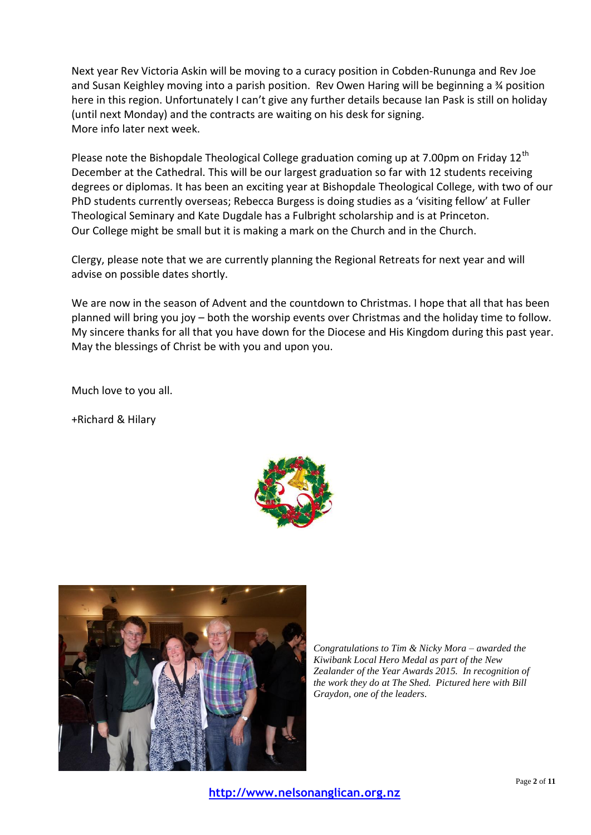Next year Rev Victoria Askin will be moving to a curacy position in Cobden-Rununga and Rev Joe and Susan Keighley moving into a parish position. Rev Owen Haring will be beginning a ¾ position here in this region. Unfortunately I can't give any further details because Ian Pask is still on holiday (until next Monday) and the contracts are waiting on his desk for signing. More info later next week.

Please note the Bishopdale Theological College graduation coming up at 7.00pm on Friday 12<sup>th</sup> December at the Cathedral. This will be our largest graduation so far with 12 students receiving degrees or diplomas. It has been an exciting year at Bishopdale Theological College, with two of our PhD students currently overseas; Rebecca Burgess is doing studies as a 'visiting fellow' at Fuller Theological Seminary and Kate Dugdale has a Fulbright scholarship and is at Princeton. Our College might be small but it is making a mark on the Church and in the Church.

Clergy, please note that we are currently planning the Regional Retreats for next year and will advise on possible dates shortly.

We are now in the season of Advent and the countdown to Christmas. I hope that all that has been planned will bring you joy – both the worship events over Christmas and the holiday time to follow. My sincere thanks for all that you have down for the Diocese and His Kingdom during this past year. May the blessings of Christ be with you and upon you.

Much love to you all.

+Richard & Hilary





*Congratulations to Tim & Nicky Mora – awarded the Kiwibank Local Hero Medal as part of the New Zealander of the Year Awards 2015. In recognition of the work they do at The Shed. Pictured here with Bill Graydon, one of the leaders.*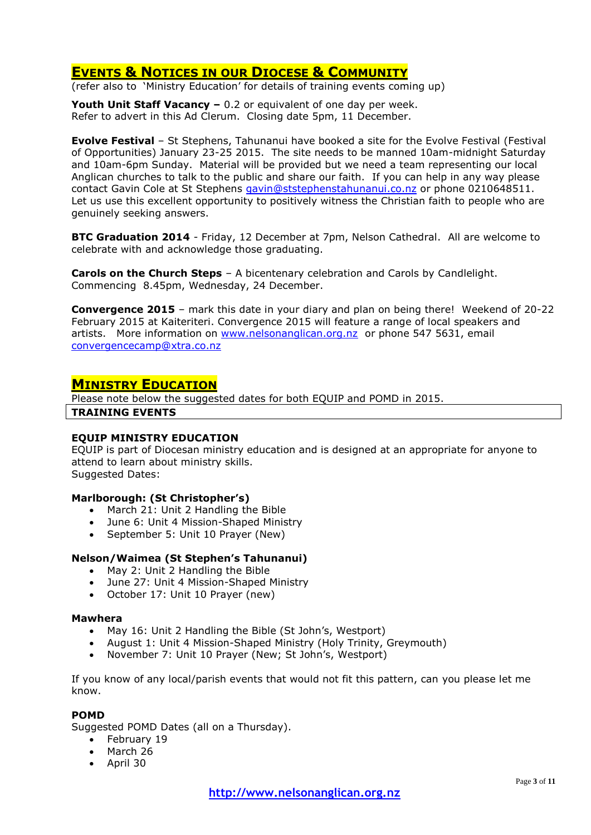# **EVENTS & NOTICES IN OUR DIOCESE & COMMUNITY**

(refer also to 'Ministry Education' for details of training events coming up)

**Youth Unit Staff Vacancy –** 0.2 or equivalent of one day per week. Refer to advert in this Ad Clerum. Closing date 5pm, 11 December.

**Evolve Festival** – St Stephens, Tahunanui have booked a site for the Evolve Festival (Festival of Opportunities) January 23-25 2015. The site needs to be manned 10am-midnight Saturday and 10am-6pm Sunday. Material will be provided but we need a team representing our local Anglican churches to talk to the public and share our faith. If you can help in any way please contact Gavin Cole at St Stephens [gavin@ststephenstahunanui.co.nz](mailto:gavin@ststephenstahunanui.co.nz) or phone 0210648511. Let us use this excellent opportunity to positively witness the Christian faith to people who are genuinely seeking answers.

**BTC Graduation 2014** - Friday, 12 December at 7pm, Nelson Cathedral. All are welcome to celebrate with and acknowledge those graduating.

**Carols on the Church Steps** – A bicentenary celebration and Carols by Candlelight. Commencing 8.45pm, Wednesday, 24 December.

**Convergence 2015** – mark this date in your diary and plan on being there! Weekend of 20-22 February 2015 at Kaiteriteri. Convergence 2015 will feature a range of local speakers and artists. More information on [www.nelsonanglican.org.nz](http://www.nelsonanglican.org.nz/) or phone 547 5631, email [convergencecamp@xtra.co.nz](mailto:convergencecamp@xtra.co.nz)

### **MINISTRY EDUCATION**

Please note below the suggested dates for both EQUIP and POMD in 2015. **TRAINING EVENTS**

### **EQUIP MINISTRY EDUCATION**

EQUIP is part of Diocesan ministry education and is designed at an appropriate for anyone to attend to learn about ministry skills. Suggested Dates:

### **Marlborough: (St Christopher's)**

- March 21: Unit 2 Handling the Bible
- June 6: Unit 4 Mission-Shaped Ministry
- September 5: Unit 10 Prayer (New)

### **Nelson/Waimea (St Stephen's Tahunanui)**

- May 2: Unit 2 Handling the Bible
- June 27: Unit 4 Mission-Shaped Ministry
- October 17: Unit 10 Prayer (new)

#### **Mawhera**

- May 16: Unit 2 Handling the Bible (St John's, Westport)
- August 1: Unit 4 Mission-Shaped Ministry (Holy Trinity, Greymouth)
- November 7: Unit 10 Prayer (New; St John's, Westport)

If you know of any local/parish events that would not fit this pattern, can you please let me know.

### **POMD**

Suggested POMD Dates (all on a Thursday).

- February 19
- March 26
- April 30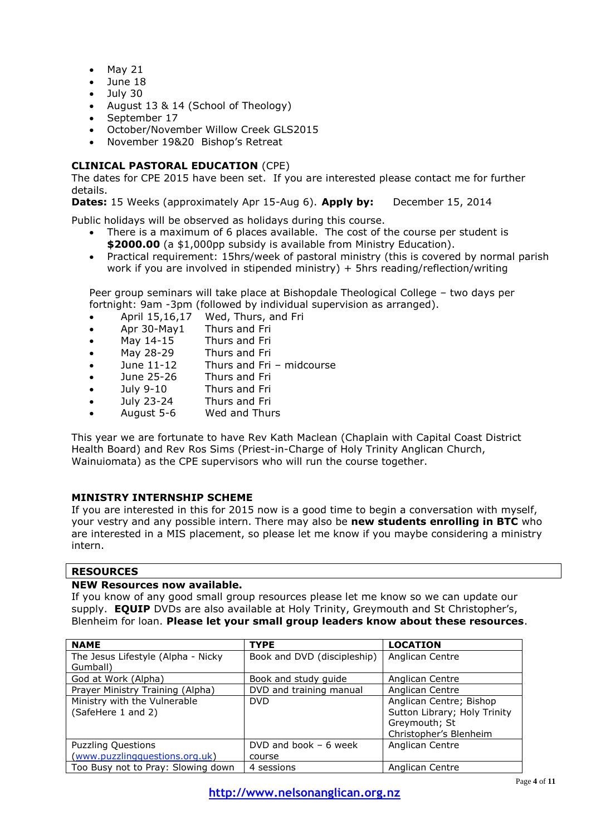- $-May 21$
- $\bullet$  June 18<br> $\bullet$  July 30
- July 30
- August 13 & 14 (School of Theology)
- September 17
- October/November Willow Creek GLS2015
- November 19&20 Bishop's Retreat

### **CLINICAL PASTORAL EDUCATION** (CPE)

The dates for CPE 2015 have been set. If you are interested please contact me for further details.

**Dates:** 15 Weeks (approximately Apr 15-Aug 6). **Apply by:** December 15, 2014

Public holidays will be observed as holidays during this course.

- There is a maximum of 6 places available. The cost of the course per student is **\$2000.00** (a \$1,000pp subsidy is available from Ministry Education).
- Practical requirement: 15hrs/week of pastoral ministry (this is covered by normal parish work if you are involved in stipended ministry) + 5hrs reading/reflection/writing

Peer group seminars will take place at Bishopdale Theological College – two days per fortnight: 9am -3pm (followed by individual supervision as arranged).

- April 15,16,17 Wed, Thurs, and Fri
- Apr 30-May1 Thurs and Fri
- May 14-15 Thurs and Fri
- May 28-29 Thurs and Fri
- June 11-12 Thurs and Fri midcourse
- June 25-26 Thurs and Fri
- July 9-10 Thurs and Fri
- July 23-24 Thurs and Fri
- August 5-6 Wed and Thurs

This year we are fortunate to have Rev Kath Maclean (Chaplain with Capital Coast District Health Board) and Rev Ros Sims (Priest-in-Charge of Holy Trinity Anglican Church, Wainuiomata) as the CPE supervisors who will run the course together.

### **MINISTRY INTERNSHIP SCHEME**

If you are interested in this for 2015 now is a good time to begin a conversation with myself, your vestry and any possible intern. There may also be **new students enrolling in BTC** who are interested in a MIS placement, so please let me know if you maybe considering a ministry intern.

### **RESOURCES**

### **NEW Resources now available.**

If you know of any good small group resources please let me know so we can update our supply. **EQUIP** DVDs are also available at Holy Trinity, Greymouth and St Christopher's, Blenheim for loan. **Please let your small group leaders know about these resources**.

| <b>NAME</b>                        | <b>TYPE</b>                 | <b>LOCATION</b>              |
|------------------------------------|-----------------------------|------------------------------|
| The Jesus Lifestyle (Alpha - Nicky | Book and DVD (discipleship) | Anglican Centre              |
| Gumball)                           |                             |                              |
| God at Work (Alpha)                | Book and study guide        | Anglican Centre              |
| Prayer Ministry Training (Alpha)   | DVD and training manual     | Anglican Centre              |
| Ministry with the Vulnerable       | <b>DVD</b>                  | Anglican Centre; Bishop      |
| (SafeHere 1 and 2)                 |                             | Sutton Library; Holy Trinity |
|                                    |                             | Greymouth; St                |
|                                    |                             | Christopher's Blenheim       |
| <b>Puzzling Questions</b>          | DVD and book $-6$ week      | Anglican Centre              |
| (www.puzzlingquestions.org.uk)     | course                      |                              |
| Too Busy not to Pray: Slowing down | 4 sessions                  | Anglican Centre              |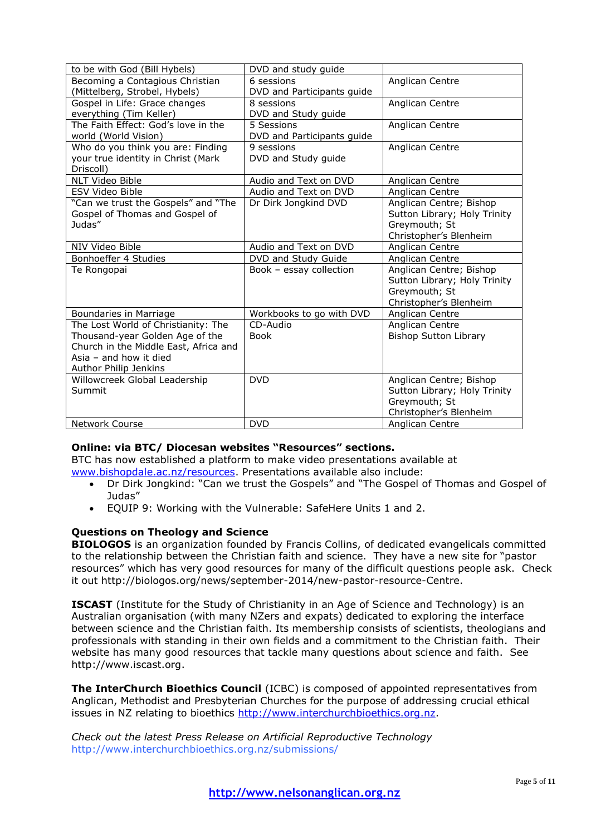| to be with God (Bill Hybels)            | DVD and study guide        |                                                         |
|-----------------------------------------|----------------------------|---------------------------------------------------------|
| Becoming a Contagious Christian         | 6 sessions                 | Anglican Centre                                         |
| (Mittelberg, Strobel, Hybels)           | DVD and Participants guide |                                                         |
| Gospel in Life: Grace changes           | 8 sessions                 | Anglican Centre                                         |
| everything (Tim Keller)                 | DVD and Study guide        |                                                         |
| The Faith Effect: God's love in the     | 5 Sessions                 | Anglican Centre                                         |
| world (World Vision)                    | DVD and Participants guide |                                                         |
| Who do you think you are: Finding       | 9 sessions                 | Anglican Centre                                         |
| your true identity in Christ (Mark      | DVD and Study guide        |                                                         |
| Driscoll)                               |                            |                                                         |
| <b>NLT Video Bible</b>                  | Audio and Text on DVD      | Anglican Centre                                         |
| ESV Video Bible                         | Audio and Text on DVD      | Anglican Centre                                         |
| "Can we trust the Gospels" and "The     | Dr Dirk Jongkind DVD       | Anglican Centre; Bishop                                 |
| Gospel of Thomas and Gospel of          |                            | Sutton Library; Holy Trinity                            |
| Judas"                                  |                            | Greymouth; St                                           |
|                                         |                            | Christopher's Blenheim                                  |
| NIV Video Bible                         | Audio and Text on DVD      | Anglican Centre                                         |
| Bonhoeffer 4 Studies                    | DVD and Study Guide        | Anglican Centre                                         |
| Te Rongopai                             | Book - essay collection    | Anglican Centre; Bishop                                 |
|                                         |                            | Sutton Library; Holy Trinity                            |
|                                         |                            | Greymouth; St                                           |
|                                         |                            | Christopher's Blenheim                                  |
| Boundaries in Marriage                  | Workbooks to go with DVD   | Anglican Centre                                         |
| The Lost World of Christianity: The     | CD-Audio                   | Anglican Centre                                         |
| Thousand-year Golden Age of the         | <b>Book</b>                | <b>Bishop Sutton Library</b>                            |
| Church in the Middle East, Africa and   |                            |                                                         |
| Asia $-$ and how it died                |                            |                                                         |
| Author Philip Jenkins                   |                            |                                                         |
| Willowcreek Global Leadership<br>Summit | <b>DVD</b>                 | Anglican Centre; Bishop<br>Sutton Library; Holy Trinity |
|                                         |                            | Greymouth; St                                           |
|                                         |                            | Christopher's Blenheim                                  |
| Network Course                          | <b>DVD</b>                 | Anglican Centre                                         |
|                                         |                            |                                                         |

### **Online: via BTC/ Diocesan websites "Resources" sections.**

BTC has now established a platform to make video presentations available at [www.bishopdale.ac.nz/resources.](http://www.bishopdale.ac.nz/resources) Presentations available also include:

- Dr Dirk Jongkind: "Can we trust the Gospels" and "The Gospel of Thomas and Gospel of Judas"
- EQUIP 9: Working with the Vulnerable: SafeHere Units 1 and 2.

### **Questions on Theology and Science**

**BIOLOGOS** is an organization founded by Francis Collins, of dedicated evangelicals committed to the relationship between the Christian faith and science. They have a new site for "pastor resources" which has very good resources for many of the difficult questions people ask. Check it out http://biologos.org/news/september-2014/new-pastor-resource-Centre.

**ISCAST** (Institute for the Study of Christianity in an Age of Science and Technology) is an Australian organisation (with many NZers and expats) dedicated to exploring the interface between science and the Christian faith. Its membership consists of scientists, theologians and professionals with standing in their own fields and a commitment to the Christian faith. Their website has many good resources that tackle many questions about science and faith. See http://www.iscast.org.

**The InterChurch Bioethics Council** (ICBC) is composed of appointed representatives from Anglican, Methodist and Presbyterian Churches for the purpose of addressing crucial ethical issues in NZ relating to bioethics [http://www.interchurchbioethics.org.nz.](http://www.interchurchbioethics.org.nz/)

*Check out the latest Press Release on Artificial Reproductive Technology* http://www.interchurchbioethics.org.nz/submissions/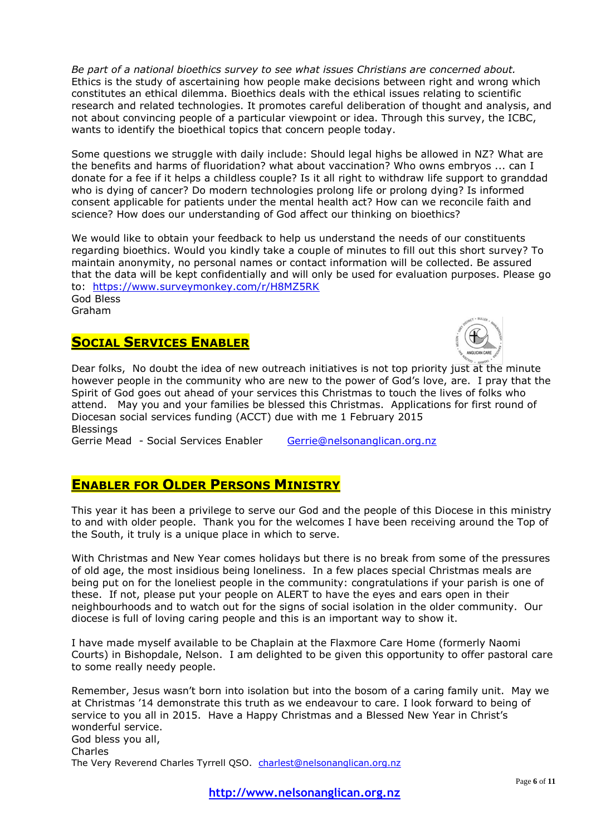*Be part of a national bioethics survey to see what issues Christians are concerned about.* Ethics is the study of ascertaining how people make decisions between right and wrong which constitutes an ethical dilemma. Bioethics deals with the ethical issues relating to scientific research and related technologies. It promotes careful deliberation of thought and analysis, and not about convincing people of a particular viewpoint or idea. Through this survey, the ICBC, wants to identify the bioethical topics that concern people today.

Some questions we struggle with daily include: Should legal highs be allowed in NZ? What are the benefits and harms of fluoridation? what about vaccination? Who owns embryos ... can I donate for a fee if it helps a childless couple? Is it all right to withdraw life support to granddad who is dying of cancer? Do modern technologies prolong life or prolong dying? Is informed consent applicable for patients under the mental health act? How can we reconcile faith and science? How does our understanding of God affect our thinking on bioethics?

We would like to obtain your feedback to help us understand the needs of our constituents regarding bioethics. Would you kindly take a couple of minutes to fill out this short survey? To maintain anonymity, no personal names or contact information will be collected. Be assured that the data will be kept confidentially and will only be used for evaluation purposes. Please go to: <https://www.surveymonkey.com/r/H8MZ5RK>

God Bless Graham

### **SOCIAL SERVICES ENABLER**



Dear folks, No doubt the idea of new outreach initiatives is not top priority just at the minute however people in the community who are new to the power of God's love, are. I pray that the Spirit of God goes out ahead of your services this Christmas to touch the lives of folks who attend. May you and your families be blessed this Christmas. Applications for first round of Diocesan social services funding (ACCT) due with me 1 February 2015 **Blessings** 

Gerrie Mead - Social Services Enabler [Gerrie@nelsonanglican.org.nz](mailto:Gerrie@nelsonanglican.org.nz)

### **ENABLER FOR OLDER PERSONS MINISTRY**

This year it has been a privilege to serve our God and the people of this Diocese in this ministry to and with older people. Thank you for the welcomes I have been receiving around the Top of the South, it truly is a unique place in which to serve.

With Christmas and New Year comes holidays but there is no break from some of the pressures of old age, the most insidious being loneliness. In a few places special Christmas meals are being put on for the loneliest people in the community: congratulations if your parish is one of these. If not, please put your people on ALERT to have the eyes and ears open in their neighbourhoods and to watch out for the signs of social isolation in the older community. Our diocese is full of loving caring people and this is an important way to show it.

I have made myself available to be Chaplain at the Flaxmore Care Home (formerly Naomi Courts) in Bishopdale, Nelson. I am delighted to be given this opportunity to offer pastoral care to some really needy people.

Remember, Jesus wasn't born into isolation but into the bosom of a caring family unit. May we at Christmas '14 demonstrate this truth as we endeavour to care. I look forward to being of service to you all in 2015. Have a Happy Christmas and a Blessed New Year in Christ's wonderful service. God bless you all, Charles The Very Reverend Charles Tyrrell QSO. [charlest@nelsonanglican.org.nz](mailto:charlest@nelsonanglican.org.nz)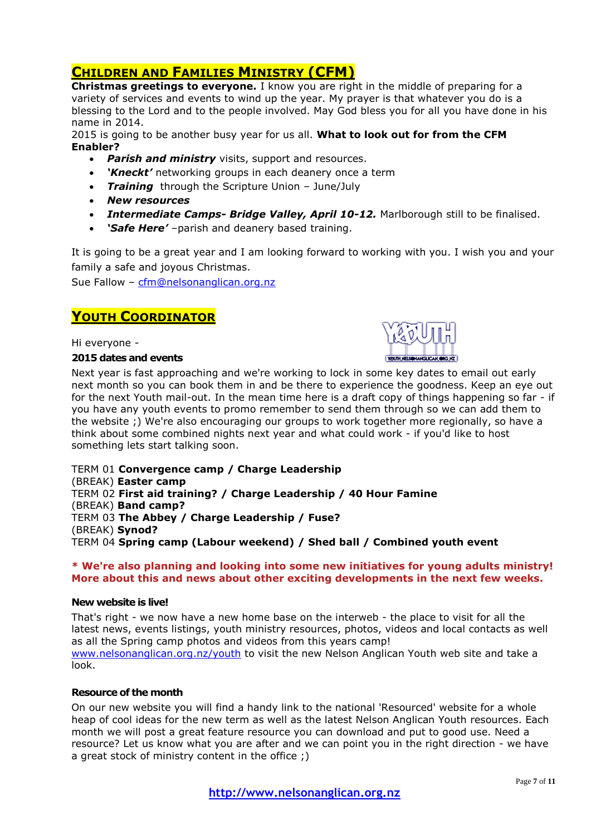# **CHILDREN AND FAMILIES MINISTRY (CFM)**

**Christmas greetings to everyone.** I know you are right in the middle of preparing for a variety of services and events to wind up the year. My prayer is that whatever you do is a blessing to the Lord and to the people involved. May God bless you for all you have done in his name in 2014.

2015 is going to be another busy year for us all. **What to look out for from the CFM Enabler?**

- *Parish and ministry* visits, support and resources.
- *'Kneckt'* networking groups in each deanery once a term
- *Training* through the Scripture Union June/July
- *New resources*
- *Intermediate Camps- Bridge Valley, April 10-12.* Marlborough still to be finalised.
- *'Safe Here'* –parish and deanery based training.

It is going to be a great year and I am looking forward to working with you. I wish you and your family a safe and joyous Christmas.

Sue Fallow – [cfm@nelsonanglican.org.nz](mailto:cfm@nelsonanglican.org.nz)

### **YOUTH COORDINATOR**

Hi everyone -

#### **2015 dates and events**



Next year is fast approaching and we're working to lock in some key dates to email out early next month so you can book them in and be there to experience the goodness. Keep an eye out for the next Youth mail-out. In the mean time here is a draft copy of things happening so far - if you have any youth events to promo remember to send them through so we can add them to the website ;) We're also encouraging our groups to work together more regionally, so have a think about some combined nights next year and what could work - if you'd like to host something lets start talking soon.

TERM 01 **Convergence camp / Charge Leadership** (BREAK) **Easter camp** TERM 02 **First aid training? / Charge Leadership / 40 Hour Famine** (BREAK) **Band camp?** TERM 03 **The Abbey / Charge Leadership / Fuse?** (BREAK) **Synod?** TERM 04 **Spring camp (Labour weekend) / Shed ball / Combined youth event**

**\* We're also planning and looking into some new initiatives for young adults ministry! More about this and news about other exciting developments in the next few weeks.**

### **New website is live!**

That's right - we now have a new home base on the interweb - the place to visit for all the latest news, events listings, youth ministry resources, photos, videos and local contacts as well as all the Spring camp photos and videos from this years camp! [www.nelsonanglican.org.nz/youth](http://www.nelsonanglican.org.nz/youth) to visit the new Nelson Anglican Youth web site and take a look.

### **Resource of the month**

On our new website you will find a handy link to the national 'Resourced' website for a whole heap of cool ideas for the new term as well as the latest Nelson Anglican Youth resources. Each month we will post a great feature resource you can download and put to good use. Need a resource? Let us know what you are after and we can point you in the right direction - we have a great stock of ministry content in the office ;)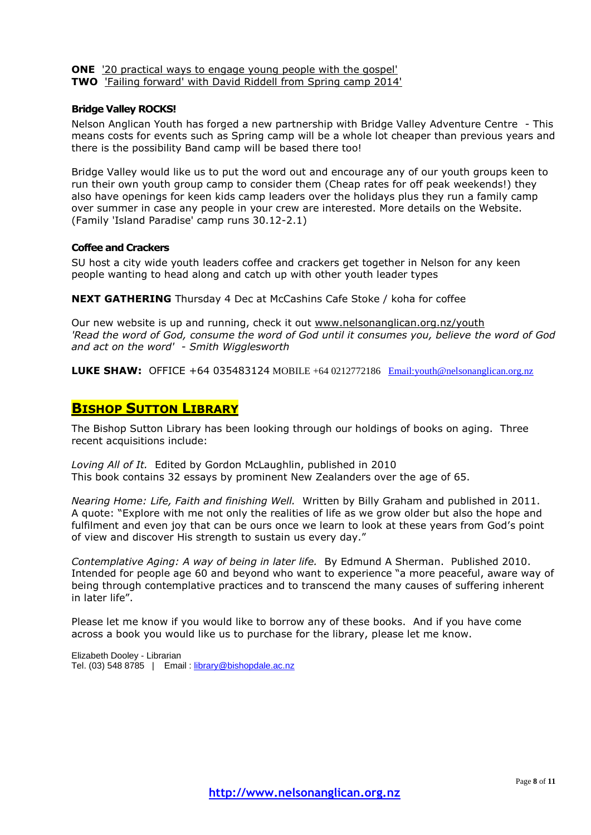**ONE** ['20 practical ways to engage young people with the gospel'](http://nelsonanglicanyouth.us9.list-manage.com/track/click?u=77d67e014607ec1799bfa00bd&id=1fd886411e&e=b98cca0208)

**TWO** ['Failing forward' with David Riddell from Spring camp 2014'](http://nelsonanglicanyouth.us9.list-manage2.com/track/click?u=77d67e014607ec1799bfa00bd&id=b6c655c05c&e=b98cca0208)

#### **Bridge Valley ROCKS!**

Nelson Anglican Youth has forged a new partnership with Bridge Valley Adventure Centre - This means costs for events such as Spring camp will be a whole lot cheaper than previous years and there is the possibility Band camp will be based there too!

Bridge Valley would like us to put the word out and encourage any of our youth groups keen to run their own youth group camp to consider them (Cheap rates for off peak weekends!) they also have openings for keen kids camp leaders over the holidays plus they run a family camp over summer in case any people in your crew are interested. More details on the Website. (Family 'Island Paradise' camp runs 30.12-2.1)

#### **Coffee and Crackers**

SU host a city wide youth leaders coffee and crackers get together in Nelson for any keen people wanting to head along and catch up with other youth leader types

**NEXT GATHERING** Thursday 4 Dec at McCashins Cafe Stoke / koha for coffee

Our new website is up and running, check it out [www.nelsonanglican.org.nz/youth](http://www.nelsonanglican.org.nz/youth) *'Read the word of God, consume the word of God until it consumes you, believe the word of God and act on the word' - Smith Wigglesworth*

**LUKE SHAW:** OFFICE +64 035483124 MOBILE +64 0212772186 [Email:youth@nelsonanglican.org.nz](mailto:youth@nelsonanglican.org.nz)

### **BISHOP SUTTON LIBRARY**

The Bishop Sutton Library has been looking through our holdings of books on aging. Three recent acquisitions include:

*Loving All of It.* Edited by Gordon McLaughlin, published in 2010 This book contains 32 essays by prominent New Zealanders over the age of 65.

*Nearing Home: Life, Faith and finishing Well.* Written by Billy Graham and published in 2011. A quote: "Explore with me not only the realities of life as we grow older but also the hope and fulfilment and even joy that can be ours once we learn to look at these years from God's point of view and discover His strength to sustain us every day."

*Contemplative Aging: A way of being in later life.* By Edmund A Sherman. Published 2010. Intended for people age 60 and beyond who want to experience "a more peaceful, aware way of being through contemplative practices and to transcend the many causes of suffering inherent in later life".

Please let me know if you would like to borrow any of these books. And if you have come across a book you would like us to purchase for the library, please let me know.

Elizabeth Dooley - Librarian Tel. (03) 548 8785 | Email : [library@bishopdale.ac.nz](mailto:library@bishopdale.ac.nz)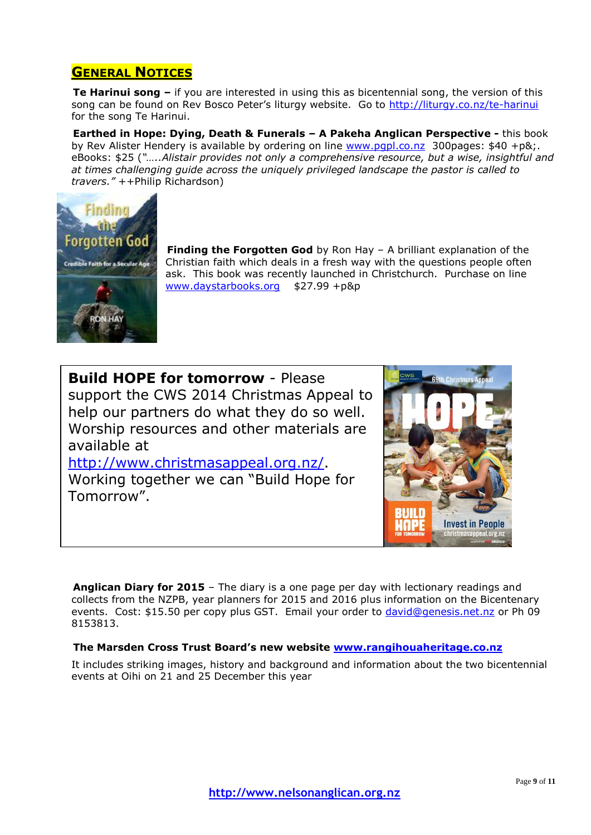# **GENERAL NOTICES**

**Te Harinui song –** if you are interested in using this as bicentennial song, the version of this song can be found on Rev Bosco Peter's liturgy website. Go to <http://liturgy.co.nz/te-harinui> for the song Te Harinui.

**Earthed in Hope: Dying, Death & Funerals – A Pakeha Anglican Perspective -** this book by Rev Alister Hendery is available by ordering on line [www.pgpl.co.nz](http://www.pgpl.co.nz/) 300pages: \$40 +p&;. eBooks: \$25 (*"…..Alistair provides not only a comprehensive resource, but a wise, insightful and at times challenging guide across the uniquely privileged landscape the pastor is called to travers."* ++Philip Richardson)



**Finding the Forgotten God** by Ron Hay – A brilliant explanation of the Christian faith which deals in a fresh way with the questions people often ask. This book was recently launched in Christchurch. Purchase on line [www.daystarbooks.org](http://www.daystarbooks.org/) \$27.99 +p&p

**Build HOPE for tomorrow** - Please support the CWS 2014 Christmas Appeal to help our partners do what they do so well. Worship resources and other materials are available at

[http://www.christmasappeal.org.nz/.](http://www.christmasappeal.org.nz/) Working together we can "Build Hope for Tomorrow".



**Anglican Diary for 2015** – The diary is a one page per day with lectionary readings and collects from the NZPB, year planners for 2015 and 2016 plus information on the Bicentenary events. Cost: \$15.50 per copy plus GST. Email your order to [david@genesis.net.nz](mailto:david@genesis.net.nz) or Ph 09 8153813.

### **The Marsden Cross Trust Board's new website [www.rangihouaheritage.co.nz](http://www.rangihouaheritage.co.nz/)**

It includes striking images, history and background and information about the two bicentennial events at Oihi on 21 and 25 December this year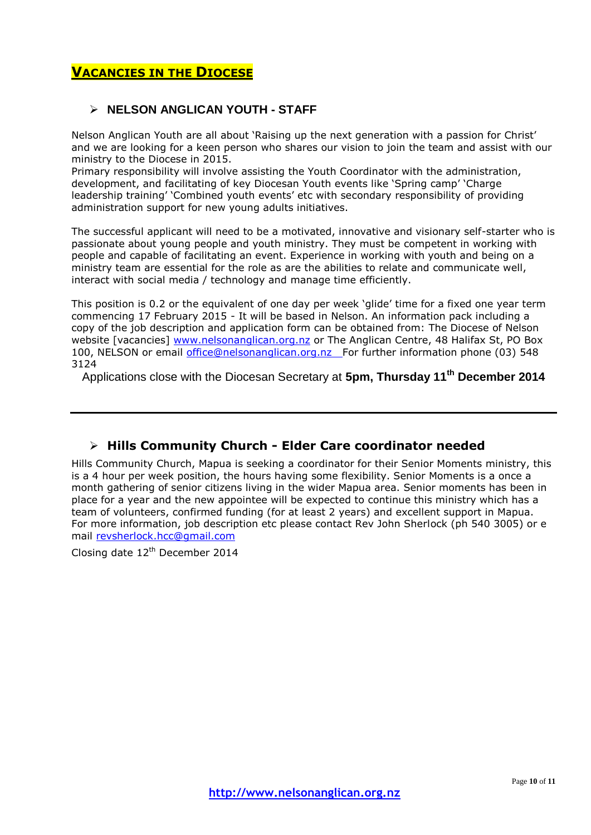# **VACANCIES IN THE DIOCESE**

### **NELSON ANGLICAN YOUTH - STAFF**

Nelson Anglican Youth are all about 'Raising up the next generation with a passion for Christ' and we are looking for a keen person who shares our vision to join the team and assist with our ministry to the Diocese in 2015.

Primary responsibility will involve assisting the Youth Coordinator with the administration, development, and facilitating of key Diocesan Youth events like 'Spring camp' 'Charge leadership training' 'Combined youth events' etc with secondary responsibility of providing administration support for new young adults initiatives.

The successful applicant will need to be a motivated, innovative and visionary self-starter who is passionate about young people and youth ministry. They must be competent in working with people and capable of facilitating an event. Experience in working with youth and being on a ministry team are essential for the role as are the abilities to relate and communicate well, interact with social media / technology and manage time efficiently.

This position is 0.2 or the equivalent of one day per week 'glide' time for a fixed one year term commencing 17 February 2015 - It will be based in Nelson. An information pack including a copy of the job description and application form can be obtained from: The Diocese of Nelson website [vacancies] [www.nelsonanglican.org.nz](http://www.nelsonanglican.org.nz/) or The Anglican Centre, 48 Halifax St, PO Box 100, NELSON or email *office@nelsonanglican.org.nz* For further information phone (03) 548 3124

Applications close with the Diocesan Secretary at **5pm, Thursday 11th December 2014**

# **Hills Community Church - Elder Care coordinator needed**

Hills Community Church, Mapua is seeking a coordinator for their Senior Moments ministry, this is a 4 hour per week position, the hours having some flexibility. Senior Moments is a once a month gathering of senior citizens living in the wider Mapua area. Senior moments has been in place for a year and the new appointee will be expected to continue this ministry which has a team of volunteers, confirmed funding (for at least 2 years) and excellent support in Mapua. For more information, job description etc please contact Rev John Sherlock (ph 540 3005) or e mail [revsherlock.hcc@gmail.com](mailto:revsherlock.hcc@gmail.com)

Closing date 12<sup>th</sup> December 2014